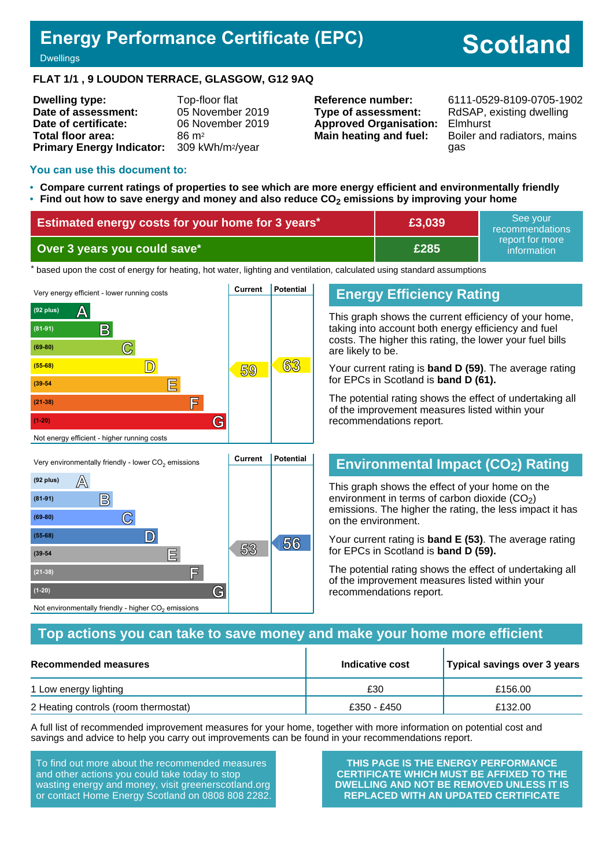# **Energy Performance Certificate (EPC)**

# **Scotland**

**Dwellings** 

#### **FLAT 1/1 , 9 LOUDON TERRACE, GLASGOW, G12 9AQ**

**Dwelling type:** Top-floor flat **Date of assessment:** 05 November 2019 **Date of certificate:** 06 November 2019 **Total floor area:** 86 m<sup>2</sup> **Primary Energy Indicator:** 309 kWh/m2/year

**Type of assessment:** RdSAP, existing dwelling **Approved Organisation:** Elmhurst

**Reference number:** 6111-0529-8109-0705-1902 **Main heating and fuel:** Boiler and radiators, mains gas

#### **You can use this document to:**

**(69-80) C**

- **Compare current ratings of properties to see which are more energy efficient and environmentally friendly**
- **Find out how to save energy and money and also reduce CO2 emissions by improving your home**

| <b>Estimated energy costs for your home for 3 years*</b> | See vour<br>£3,039<br>recommendations |                                |  |
|----------------------------------------------------------|---------------------------------------|--------------------------------|--|
| Over 3 years you could save*                             | £285                                  | report for more<br>information |  |

the based upon the cost of energy for heating, hot water, lighting and ventilation, calculated using standard assumptions



**56 (55-68) D**

**53 (39-54 E**

**(21-38) F**

Not environmentally friendly - higher  $\mathrm{CO}_2$  emissions

**(1-20) G**

#### **Energy Efficiency Rating**

This graph shows the current efficiency of your home, taking into account both energy efficiency and fuel costs. The higher this rating, the lower your fuel bills are likely to be.

Your current rating is **band D (59)**. The average rating for EPCs in Scotland is **band D (61).**

The potential rating shows the effect of undertaking all of the improvement measures listed within your recommendations report.

### **Environmental Impact (CO2) Rating**

This graph shows the effect of your home on the environment in terms of carbon dioxide  $(CO<sub>2</sub>)$ emissions. The higher the rating, the less impact it has on the environment.

Your current rating is **band E (53)**. The average rating for EPCs in Scotland is **band D (59).**

The potential rating shows the effect of undertaking all of the improvement measures listed within your recommendations report.

#### **Top actions you can take to save money and make your home more efficient**

| Recommended measures                 | Indicative cost | Typical savings over 3 years |
|--------------------------------------|-----------------|------------------------------|
| 1 Low energy lighting                | £30             | £156.00                      |
| 2 Heating controls (room thermostat) | £350 - £450     | £132.00                      |

A full list of recommended improvement measures for your home, together with more information on potential cost and savings and advice to help you carry out improvements can be found in your recommendations report.

To find out more about the recommended measures and other actions you could take today to stop wasting energy and money, visit greenerscotland.org or contact Home Energy Scotland on 0808 808 2282.

**THIS PAGE IS THE ENERGY PERFORMANCE CERTIFICATE WHICH MUST BE AFFIXED TO THE DWELLING AND NOT BE REMOVED UNLESS IT IS REPLACED WITH AN UPDATED CERTIFICATE**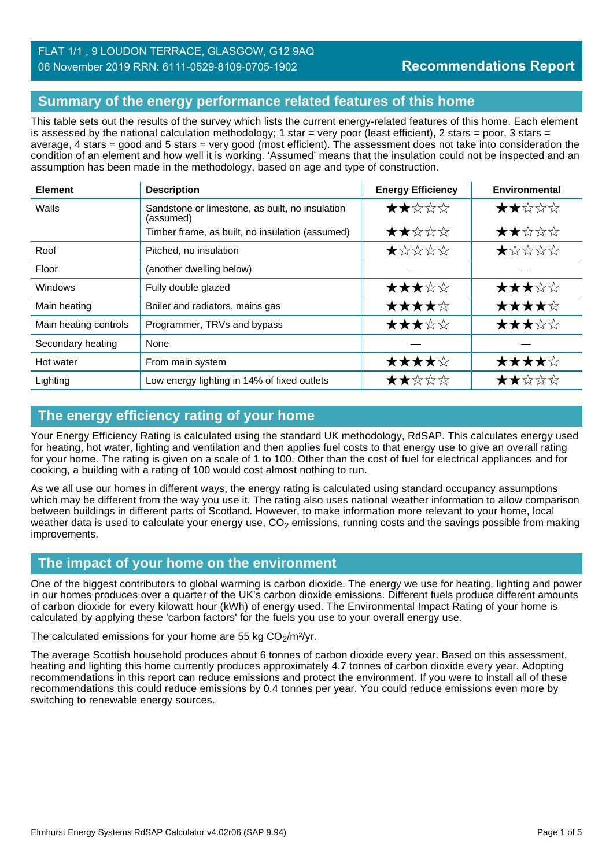# **Summary of the energy performance related features of this home**

This table sets out the results of the survey which lists the current energy-related features of this home. Each element is assessed by the national calculation methodology; 1 star = very poor (least efficient), 2 stars = poor, 3 stars = average, 4 stars = good and 5 stars = very good (most efficient). The assessment does not take into consideration the condition of an element and how well it is working. 'Assumed' means that the insulation could not be inspected and an assumption has been made in the methodology, based on age and type of construction.

| <b>Element</b>        | <b>Description</b>                                           | <b>Energy Efficiency</b> | Environmental |
|-----------------------|--------------------------------------------------------------|--------------------------|---------------|
| Walls                 | Sandstone or limestone, as built, no insulation<br>(assumed) | ★★☆☆☆                    | ★★☆☆☆         |
|                       | Timber frame, as built, no insulation (assumed)              | ★★☆☆☆                    | ★★☆☆☆         |
| Roof                  | Pitched, no insulation                                       | ★☆☆☆☆                    | ★☆☆☆☆         |
| Floor                 | (another dwelling below)                                     |                          |               |
| Windows               | Fully double glazed                                          | ★★★☆☆                    | ★★★☆☆         |
| Main heating          | Boiler and radiators, mains gas                              | ★★★★☆                    | ★★★★☆         |
| Main heating controls | Programmer, TRVs and bypass                                  | ★★★☆☆                    | ★★★☆☆         |
| Secondary heating     | None                                                         |                          |               |
| Hot water             | From main system                                             | ★★★★☆                    | ★★★★☆         |
| Lighting              | Low energy lighting in 14% of fixed outlets                  | ★★☆☆☆                    | ★★☆☆☆         |

# **The energy efficiency rating of your home**

Your Energy Efficiency Rating is calculated using the standard UK methodology, RdSAP. This calculates energy used for heating, hot water, lighting and ventilation and then applies fuel costs to that energy use to give an overall rating for your home. The rating is given on a scale of 1 to 100. Other than the cost of fuel for electrical appliances and for cooking, a building with a rating of 100 would cost almost nothing to run.

As we all use our homes in different ways, the energy rating is calculated using standard occupancy assumptions which may be different from the way you use it. The rating also uses national weather information to allow comparison between buildings in different parts of Scotland. However, to make information more relevant to your home, local weather data is used to calculate your energy use,  $CO<sub>2</sub>$  emissions, running costs and the savings possible from making improvements.

### **The impact of your home on the environment**

One of the biggest contributors to global warming is carbon dioxide. The energy we use for heating, lighting and power in our homes produces over a quarter of the UK's carbon dioxide emissions. Different fuels produce different amounts of carbon dioxide for every kilowatt hour (kWh) of energy used. The Environmental Impact Rating of your home is calculated by applying these 'carbon factors' for the fuels you use to your overall energy use.

The calculated emissions for your home are 55 kg  $CO<sub>2</sub>/m<sup>2</sup>/yr$ .

The average Scottish household produces about 6 tonnes of carbon dioxide every year. Based on this assessment, heating and lighting this home currently produces approximately 4.7 tonnes of carbon dioxide every year. Adopting recommendations in this report can reduce emissions and protect the environment. If you were to install all of these recommendations this could reduce emissions by 0.4 tonnes per year. You could reduce emissions even more by switching to renewable energy sources.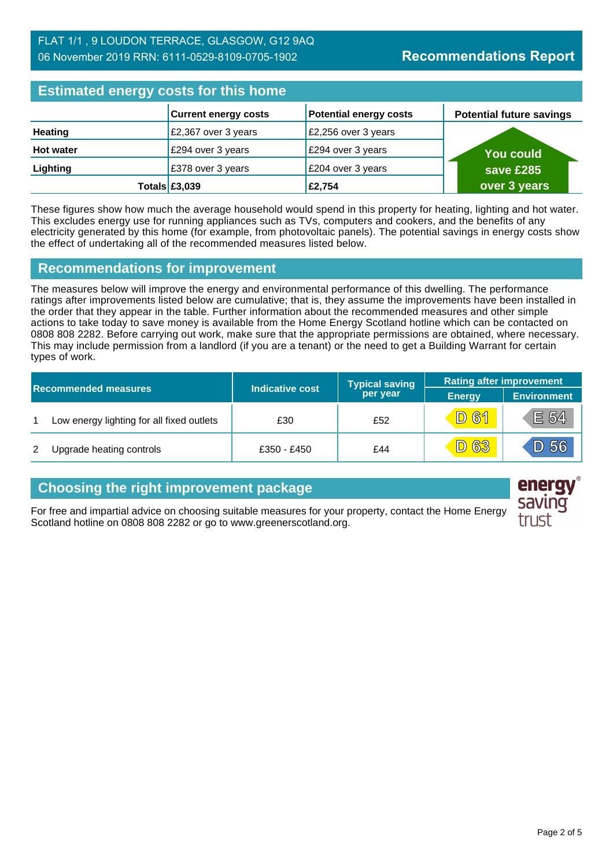| <b>Estimated energy costs for this home</b> |                             |                               |                                 |
|---------------------------------------------|-----------------------------|-------------------------------|---------------------------------|
|                                             | <b>Current energy costs</b> | <b>Potential energy costs</b> | <b>Potential future savings</b> |
| <b>Heating</b>                              | £2,367 over 3 years         | £2,256 over 3 years           |                                 |
| <b>Hot water</b>                            | £294 over 3 years           | £294 over 3 years             | <b>You could</b>                |
| Lighting                                    | £378 over 3 years           | £204 over 3 years             | save £285                       |
|                                             | Totals $£3,039$             | £2,754                        | over 3 years                    |

These figures show how much the average household would spend in this property for heating, lighting and hot water. This excludes energy use for running appliances such as TVs, computers and cookers, and the benefits of any electricity generated by this home (for example, from photovoltaic panels). The potential savings in energy costs show the effect of undertaking all of the recommended measures listed below.

### **Recommendations for improvement**

The measures below will improve the energy and environmental performance of this dwelling. The performance ratings after improvements listed below are cumulative; that is, they assume the improvements have been installed in the order that they appear in the table. Further information about the recommended measures and other simple actions to take today to save money is available from the Home Energy Scotland hotline which can be contacted on 0808 808 2282. Before carrying out work, make sure that the appropriate permissions are obtained, where necessary. This may include permission from a landlord (if you are a tenant) or the need to get a Building Warrant for certain types of work.

| <b>Recommended measures</b> |                                           |                        | <b>Typical saving</b> | <b>Rating after improvement</b> |                    |
|-----------------------------|-------------------------------------------|------------------------|-----------------------|---------------------------------|--------------------|
|                             |                                           | <b>Indicative cost</b> | per year              | <b>Energy</b>                   | <b>Environment</b> |
|                             | Low energy lighting for all fixed outlets | £30                    | £52                   | $\sqrt{D}$ 61                   | E 54               |
| 2                           | Upgrade heating controls                  | £350 - £450            | £44                   | <u>83</u><br>D)                 | D56                |

### **Choosing the right improvement package**

For free and impartial advice on choosing suitable measures for your property, contact the Home Energy Scotland hotline on 0808 808 2282 or go to www.greenerscotland.org.

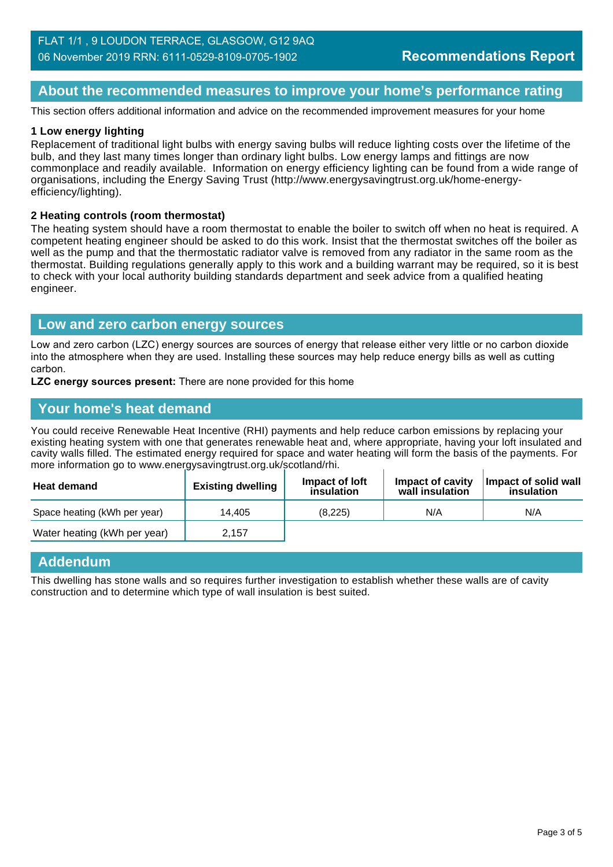### **About the recommended measures to improve your home's performance rating**

This section offers additional information and advice on the recommended improvement measures for your home

#### **1 Low energy lighting**

Replacement of traditional light bulbs with energy saving bulbs will reduce lighting costs over the lifetime of the bulb, and they last many times longer than ordinary light bulbs. Low energy lamps and fittings are now commonplace and readily available. Information on energy efficiency lighting can be found from a wide range of organisations, including the Energy Saving Trust (http://www.energysavingtrust.org.uk/home-energyefficiency/lighting).

#### **2 Heating controls (room thermostat)**

The heating system should have a room thermostat to enable the boiler to switch off when no heat is required. A competent heating engineer should be asked to do this work. Insist that the thermostat switches off the boiler as well as the pump and that the thermostatic radiator valve is removed from any radiator in the same room as the thermostat. Building regulations generally apply to this work and a building warrant may be required, so it is best to check with your local authority building standards department and seek advice from a qualified heating engineer.

#### **Low and zero carbon energy sources**

Low and zero carbon (LZC) energy sources are sources of energy that release either very little or no carbon dioxide into the atmosphere when they are used. Installing these sources may help reduce energy bills as well as cutting carbon.

**LZC energy sources present:** There are none provided for this home

#### **Your home's heat demand**

You could receive Renewable Heat Incentive (RHI) payments and help reduce carbon emissions by replacing your existing heating system with one that generates renewable heat and, where appropriate, having your loft insulated and cavity walls filled. The estimated energy required for space and water heating will form the basis of the payments. For more information go to www.energysavingtrust.org.uk/scotland/rhi.

| <b>Heat demand</b>           | <b>Existing dwelling</b> | Impact of Joft<br>insulation | Impact of cavity<br>wall insulation | Impact of solid wall<br>insulation |
|------------------------------|--------------------------|------------------------------|-------------------------------------|------------------------------------|
| Space heating (kWh per year) | 14.405                   | (8.225)                      | N/A                                 | N/A                                |
| Water heating (kWh per year) | 2,157                    |                              |                                     |                                    |

#### **Addendum**

This dwelling has stone walls and so requires further investigation to establish whether these walls are of cavity construction and to determine which type of wall insulation is best suited.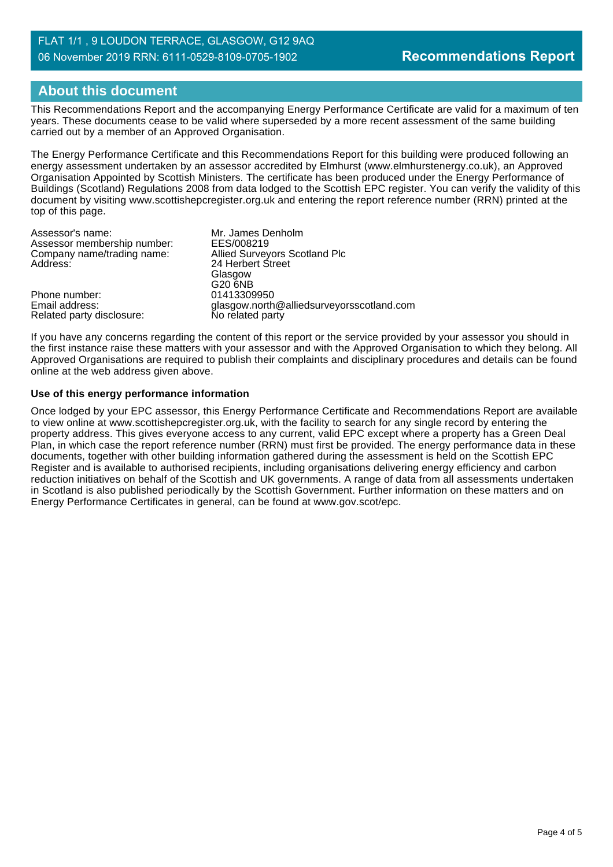# **About this document**

This Recommendations Report and the accompanying Energy Performance Certificate are valid for a maximum of ten years. These documents cease to be valid where superseded by a more recent assessment of the same building carried out by a member of an Approved Organisation.

The Energy Performance Certificate and this Recommendations Report for this building were produced following an energy assessment undertaken by an assessor accredited by Elmhurst (www.elmhurstenergy.co.uk), an Approved Organisation Appointed by Scottish Ministers. The certificate has been produced under the Energy Performance of Buildings (Scotland) Regulations 2008 from data lodged to the Scottish EPC register. You can verify the validity of this document by visiting www.scottishepcregister.org.uk and entering the report reference number (RRN) printed at the top of this page.

| Assessor's name:                                          | Mr. James Denholm                                             |
|-----------------------------------------------------------|---------------------------------------------------------------|
| Assessor membership number:<br>Company name/trading name: | EES/008219<br>Allied Surveyors Scotland Plc                   |
| Address:                                                  | 24 Herbert Street                                             |
|                                                           | Glasgow                                                       |
|                                                           | G20 6NB                                                       |
| Phone number:                                             | 01413309950                                                   |
| Email address:<br>Related party disclosure:               | glasgow.north@alliedsurveyorsscotland.com<br>No related party |
|                                                           |                                                               |

If you have any concerns regarding the content of this report or the service provided by your assessor you should in the first instance raise these matters with your assessor and with the Approved Organisation to which they belong. All Approved Organisations are required to publish their complaints and disciplinary procedures and details can be found online at the web address given above.

#### **Use of this energy performance information**

Once lodged by your EPC assessor, this Energy Performance Certificate and Recommendations Report are available to view online at www.scottishepcregister.org.uk, with the facility to search for any single record by entering the property address. This gives everyone access to any current, valid EPC except where a property has a Green Deal Plan, in which case the report reference number (RRN) must first be provided. The energy performance data in these documents, together with other building information gathered during the assessment is held on the Scottish EPC Register and is available to authorised recipients, including organisations delivering energy efficiency and carbon reduction initiatives on behalf of the Scottish and UK governments. A range of data from all assessments undertaken in Scotland is also published periodically by the Scottish Government. Further information on these matters and on Energy Performance Certificates in general, can be found at www.gov.scot/epc.